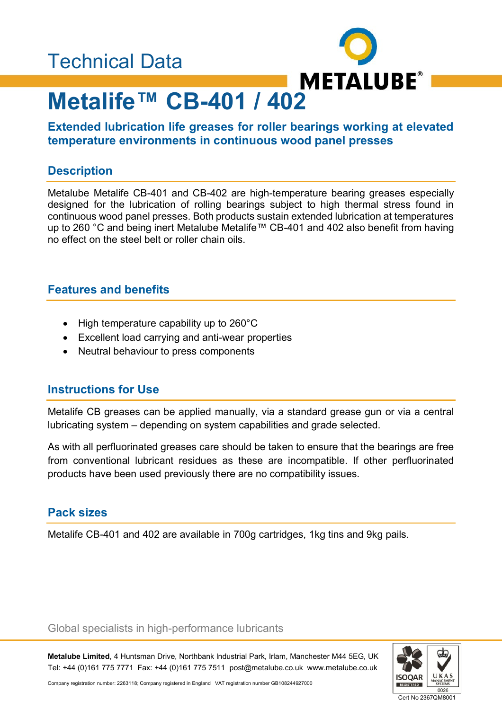## Technical Data



# **Metalife™ CB-401 / 402**

#### **Extended lubrication life greases for roller bearings working at elevated temperature environments in continuous wood panel presses**

#### **Description**

Metalube Metalife CB-401 and CB-402 are high-temperature bearing greases especially designed for the lubrication of rolling bearings subject to high thermal stress found in continuous wood panel presses. Both products sustain extended lubrication at temperatures up to 260 °C and being inert Metalube Metalife™ CB-401 and 402 also benefit from having no effect on the steel belt or roller chain oils.

#### **Features and benefits**

- High temperature capability up to 260°C
- Excellent load carrying and anti-wear properties
- Neutral behaviour to press components

### **Instructions for Use**

Metalife CB greases can be applied manually, via a standard grease gun or via a central lubricating system – depending on system capabilities and grade selected.

As with all perfluorinated greases care should be taken to ensure that the bearings are free from conventional lubricant residues as these are incompatible. If other perfluorinated products have been used previously there are no compatibility issues.

### **Pack sizes**

Metalife CB-401 and 402 are available in 700g cartridges, 1kg tins and 9kg pails.

#### Global specialists in high-performance lubricants

**Metalube Limited**, 4 Huntsman Drive, Northbank Industrial Park, Irlam, Manchester M44 5EG, UK Tel: +44 (0)161 775 7771 Fax: +44 (0)161 775 7511 post@metalube.co.uk www.metalube.co.uk



Company registration number: 2263118; Company registered in England VAT registration number GB108244927000